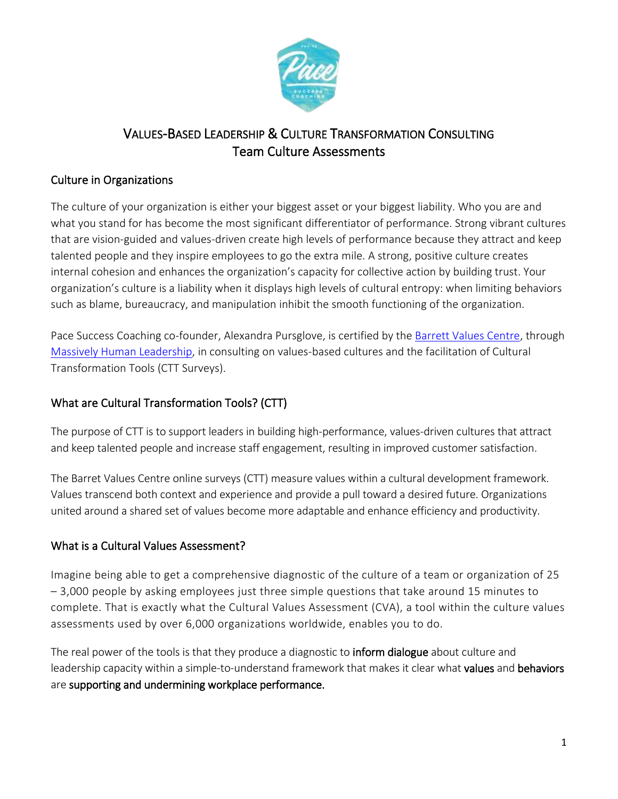

# VALUES-BASED LEADERSHIP & CULTURE TRANSFORMATION CONSULTING Team Culture Assessments

## Culture in Organizations

The culture of your organization is either your biggest asset or your biggest liability. Who you are and what you stand for has become the most significant differentiator of performance. Strong vibrant cultures that are vision-guided and values-driven create high levels of performance because they attract and keep talented people and they inspire employees to go the extra mile. A strong, positive culture creates internal cohesion and enhances the organization's capacity for collective action by building trust. Your organization's culture is a liability when it displays high levels of [cultural entropy:](http://www.valuescentre.com/culture/?sec=barrett_model&sub=cultural_entropy) when limiting behaviors such as blame, bureaucracy, and manipulation inhibit the smooth functioning of the organization.

Pace Success Coaching co-founder, Alexandra Pursglove, is certified by the [Barrett Values Centre,](https://www.valuescentre.com/) through [Massively Human Leadership,](https://www.massivelyhuman.com/) in consulting on values-based cultures and the facilitation of Cultural Transformation Tools (CTT Surveys).

# What are Cultural Transformation Tools? (CTT)

The purpose of CTT is to support leaders in building high-performance, values-driven cultures that attract and keep talented people and increase staff engagement, resulting in improved customer satisfaction.

The Barret Values Centre online surveys (CTT) measure values within a cultural development framework. Values transcend both context and experience and provide a pull toward a desired future. Organizations united around a shared set of values become more adaptable and enhance efficiency and productivity.

#### What is a Cultural Values Assessment?

Imagine being able to get a comprehensive diagnostic of the culture of a team or organization of 25 – 3,000 people by asking employees just three simple questions that take around 15 minutes to complete. That is exactly what the Cultural Values Assessment (CVA), a tool within the culture values assessments used by over 6,000 organizations worldwide, enables you to do.

The real power of the tools is that they produce a diagnostic to **inform dialogue** about culture and leadership capacity within a simple-to-understand framework that makes it clear what values and behaviors are supporting and undermining workplace performance.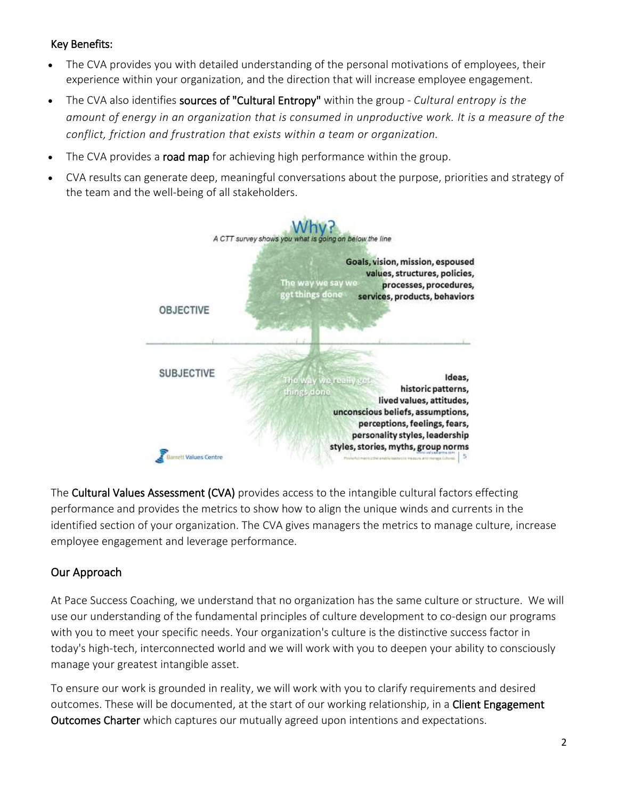#### Key Benefits:

- The CVA provides you with detailed understanding of the personal motivations of employees, their experience within your organization, and the direction that will increase employee engagement.
- The CVA also identifies sources of "Cultural Entropy" within the group *Cultural entropy is the amount of energy in an organization that is consumed in unproductive work. It is a measure of the conflict, friction and frustration that exists within a team or organization.*
- The CVA provides a **road map** for achieving high performance within the group.
- CVA results can generate deep, meaningful conversations about the purpose, priorities and strategy of the team and the well-being of all stakeholders.



The Cultural Values Assessment (CVA) provides access to the intangible cultural factors effecting performance and provides the metrics to show how to align the unique winds and currents in the identified section of your organization. The CVA gives managers the metrics to manage culture, increase employee engagement and leverage performance.

# Our Approach

At Pace Success Coaching, we understand that no organization has the same culture or structure. We will use our understanding of the fundamental principles of culture development to co-design our programs with you to meet your specific needs. Your organization's culture is the distinctive success factor in today's high-tech, interconnected world and we will work with you to deepen your ability to consciously manage your greatest intangible asset.

To ensure our work is grounded in reality, we will work with you to clarify requirements and desired outcomes. These will be documented, at the start of our working relationship, in a Client Engagement Outcomes Charter which captures our mutually agreed upon intentions and expectations.